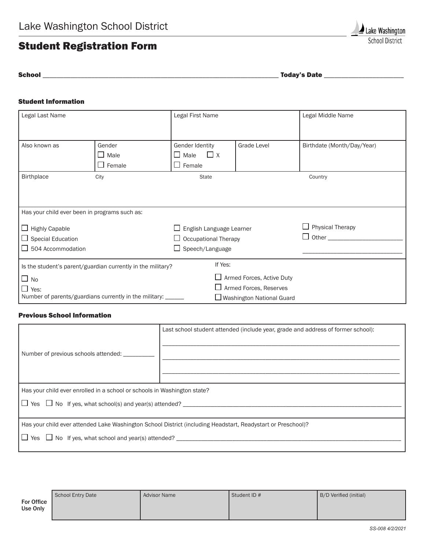## Student Registration Form

School \_\_\_\_\_\_\_\_\_\_\_\_\_\_\_\_\_\_\_\_\_\_\_\_\_\_\_\_\_\_\_\_\_\_\_\_\_\_\_\_\_\_\_\_\_\_\_\_\_\_\_\_\_\_\_\_\_\_\_\_\_\_\_\_\_\_\_\_ Today's Date \_\_\_\_\_\_\_\_\_\_\_\_\_\_\_\_\_\_\_\_\_\_\_

## Student Information

| Legal Last Name                                                        |                                         | Legal First Name                        |                                  | Legal Middle Name          |  |  |
|------------------------------------------------------------------------|-----------------------------------------|-----------------------------------------|----------------------------------|----------------------------|--|--|
|                                                                        |                                         |                                         |                                  |                            |  |  |
| Also known as                                                          | Gender                                  | Gender Identity                         | <b>Grade Level</b>               | Birthdate (Month/Day/Year) |  |  |
|                                                                        | $\Box$ Male<br>Female<br>$\blacksquare$ | $\Box$ X<br>Male<br>ΙI<br>$\Box$ Female |                                  |                            |  |  |
| <b>Birthplace</b>                                                      | City                                    | <b>State</b>                            |                                  | Country                    |  |  |
|                                                                        |                                         |                                         |                                  |                            |  |  |
|                                                                        |                                         |                                         |                                  |                            |  |  |
| Has your child ever been in programs such as:                          |                                         |                                         |                                  |                            |  |  |
| $\Box$ Highly Capable                                                  |                                         | English Language Learner                |                                  | <b>Physical Therapy</b>    |  |  |
| $\Box$ Special Education                                               |                                         | <b>Occupational Therapy</b>             |                                  | $\Box$ Other $\_\_$        |  |  |
| $\Box$ 504 Accommodation                                               |                                         | Speech/Language                         |                                  |                            |  |  |
| If Yes:<br>Is the student's parent/guardian currently in the military? |                                         |                                         |                                  |                            |  |  |
| $\Box$ No                                                              |                                         |                                         | $\Box$ Armed Forces, Active Duty |                            |  |  |
| $\Box$ Yes:                                                            |                                         |                                         | $\Box$ Armed Forces, Reserves    |                            |  |  |
| Number of parents/guardians currently in the military: ______          |                                         |                                         | □ Washington National Guard      |                            |  |  |

## Previous School Information

| Number of previous schools attended:                                                                                                                    | Last school student attended (include year, grade and address of former school): |  |  |  |
|---------------------------------------------------------------------------------------------------------------------------------------------------------|----------------------------------------------------------------------------------|--|--|--|
| Has your child ever enrolled in a school or schools in Washington state?<br>$\Box$ Yes $\Box$ No If yes, what school(s) and year(s) attended? _________ |                                                                                  |  |  |  |
| Has your child ever attended Lake Washington School District (including Headstart, Readystart or Preschool)?                                            |                                                                                  |  |  |  |

|                        | School Entry Date | <b>Advisor Name</b> | Student ID # | B/D Verified (initial) |
|------------------------|-------------------|---------------------|--------------|------------------------|
| For Office<br>Use Only |                   |                     |              |                        |